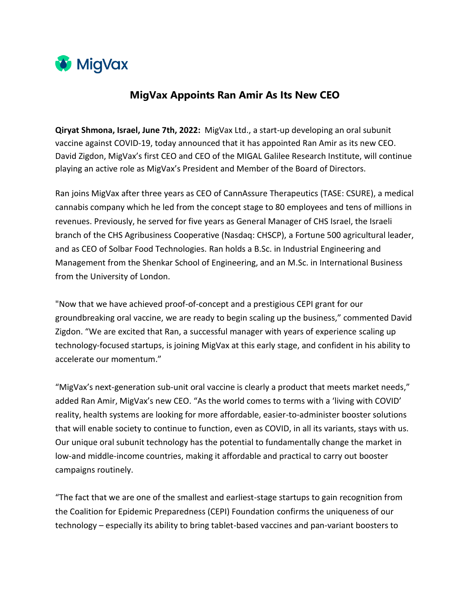

## **MigVax Appoints Ran Amir As Its New CEO**

**Qiryat Shmona, Israel, June 7th, 2022:** MigVax Ltd., a start-up developing an oral subunit vaccine against COVID-19, today announced that it has appointed Ran Amir as its new CEO. David Zigdon, MigVax's first CEO and CEO of the MIGAL Galilee Research Institute, will continue playing an active role as MigVax's President and Member of the Board of Directors.

Ran joins MigVax after three years as CEO of CannAssure Therapeutics (TASE: CSURE), a medical cannabis company which he led from the concept stage to 80 employees and tens of millions in revenues. Previously, he served for five years as General Manager of CHS Israel, the Israeli branch of the CHS Agribusiness Cooperative (Nasdaq: CHSCP), a Fortune 500 agricultural leader, and as CEO of Solbar Food Technologies. Ran holds a B.Sc. in Industrial Engineering and Management from the Shenkar School of Engineering, and an M.Sc. in International Business from the University of London.

"Now that we have achieved proof-of-concept and a prestigious CEPI grant for our groundbreaking oral vaccine, we are ready to begin scaling up the business," commented David Zigdon. "We are excited that Ran, a successful manager with years of experience scaling up technology-focused startups, is joining MigVax at this early stage, and confident in his ability to accelerate our momentum."

"MigVax's next-generation sub-unit oral vaccine is clearly a product that meets market needs," added Ran Amir, MigVax's new CEO. "As the world comes to terms with a 'living with COVID' reality, health systems are looking for more affordable, easier-to-administer booster solutions that will enable society to continue to function, even as COVID, in all its variants, stays with us. Our unique oral subunit technology has the potential to fundamentally change the market in low-and middle-income countries, making it affordable and practical to carry out booster campaigns routinely.

"The fact that we are one of the smallest and earliest-stage startups to gain recognition from the Coalition for Epidemic Preparedness (CEPI) Foundation confirms the uniqueness of our technology – especially its ability to bring tablet-based vaccines and pan-variant boosters to